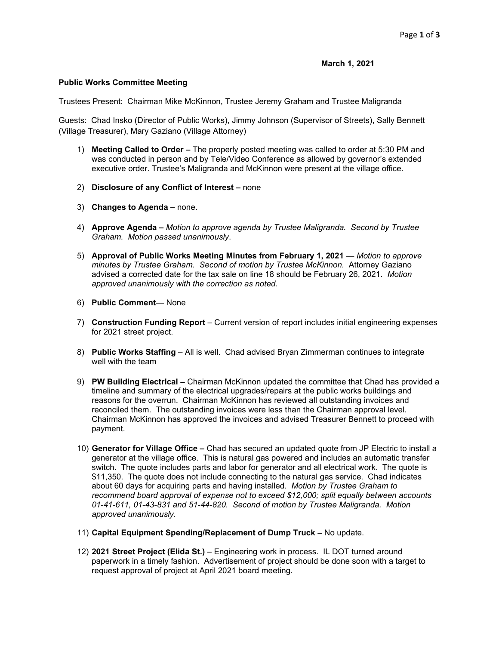## **March 1, 2021**

## **Public Works Committee Meeting**

Trustees Present: Chairman Mike McKinnon, Trustee Jeremy Graham and Trustee Maligranda

Guests: Chad Insko (Director of Public Works), Jimmy Johnson (Supervisor of Streets), Sally Bennett (Village Treasurer), Mary Gaziano (Village Attorney)

- 1) **Meeting Called to Order –** The properly posted meeting was called to order at 5:30 PM and was conducted in person and by Tele/Video Conference as allowed by governor's extended executive order. Trustee's Maligranda and McKinnon were present at the village office.
- 2) **Disclosure of any Conflict of Interest –** none
- 3) **Changes to Agenda –** none.
- 4) **Approve Agenda –** *Motion to approve agenda by Trustee Maligranda. Second by Trustee Graham. Motion passed unanimously*.
- 5) **Approval of Public Works Meeting Minutes from February 1, 2021** *Motion to approve minutes by Trustee Graham. Second of motion by Trustee McKinnon.* Attorney Gaziano advised a corrected date for the tax sale on line 18 should be February 26, 2021. *Motion approved unanimously with the correction as noted.*
- 6) **Public Comment** None
- 7) **Construction Funding Report** Current version of report includes initial engineering expenses for 2021 street project.
- 8) **Public Works Staffing** All is well. Chad advised Bryan Zimmerman continues to integrate well with the team
- 9) **PW Building Electrical –** Chairman McKinnon updated the committee that Chad has provided a timeline and summary of the electrical upgrades/repairs at the public works buildings and reasons for the overrun. Chairman McKinnon has reviewed all outstanding invoices and reconciled them. The outstanding invoices were less than the Chairman approval level. Chairman McKinnon has approved the invoices and advised Treasurer Bennett to proceed with payment.
- 10) **Generator for Village Office –** Chad has secured an updated quote from JP Electric to install a generator at the village office. This is natural gas powered and includes an automatic transfer switch. The quote includes parts and labor for generator and all electrical work. The quote is \$11,350. The quote does not include connecting to the natural gas service. Chad indicates about 60 days for acquiring parts and having installed. *Motion by Trustee Graham to recommend board approval of expense not to exceed \$12,000; split equally between accounts 01-41-611, 01-43-831 and 51-44-820. Second of motion by Trustee Maligranda. Motion approved unanimously*.
- 11) **Capital Equipment Spending/Replacement of Dump Truck –** No update.
- 12) **2021 Street Project (Elida St.)** Engineering work in process. IL DOT turned around paperwork in a timely fashion. Advertisement of project should be done soon with a target to request approval of project at April 2021 board meeting.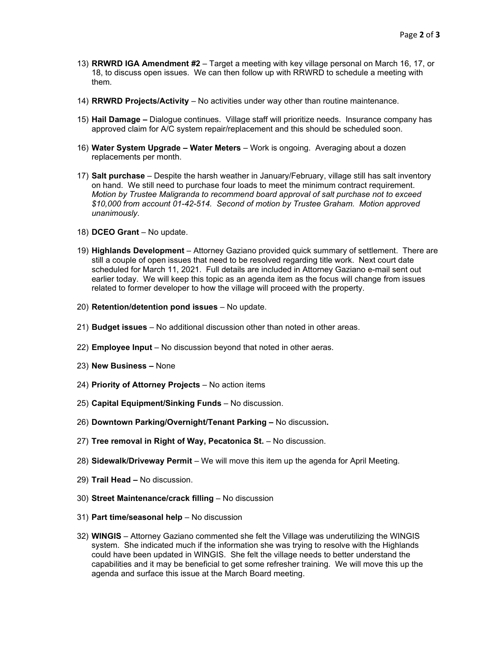- 13) **RRWRD IGA Amendment #2**  Target a meeting with key village personal on March 16, 17, or 18, to discuss open issues. We can then follow up with RRWRD to schedule a meeting with them.
- 14) **RRWRD Projects/Activity** No activities under way other than routine maintenance.
- 15) **Hail Damage –** Dialogue continues. Village staff will prioritize needs. Insurance company has approved claim for A/C system repair/replacement and this should be scheduled soon.
- 16) **Water System Upgrade – Water Meters** Work is ongoing. Averaging about a dozen replacements per month.
- 17) **Salt purchase** Despite the harsh weather in January/February, village still has salt inventory on hand. We still need to purchase four loads to meet the minimum contract requirement. *Motion by Trustee Maligranda to recommend board approval of salt purchase not to exceed \$10,000 from account 01-42-514. Second of motion by Trustee Graham. Motion approved unanimously*.
- 18) **DCEO Grant** No update.
- 19) **Highlands Development** Attorney Gaziano provided quick summary of settlement. There are still a couple of open issues that need to be resolved regarding title work. Next court date scheduled for March 11, 2021. Full details are included in Attorney Gaziano e-mail sent out earlier today. We will keep this topic as an agenda item as the focus will change from issues related to former developer to how the village will proceed with the property.
- 20) **Retention/detention pond issues** No update.
- 21) **Budget issues**  No additional discussion other than noted in other areas.
- 22) **Employee Input**  No discussion beyond that noted in other aeras.
- 23) **New Business –** None
- 24) **Priority of Attorney Projects** No action items
- 25) **Capital Equipment/Sinking Funds** No discussion.
- 26) **Downtown Parking/Overnight/Tenant Parking –** No discussion**.**
- 27) **Tree removal in Right of Way, Pecatonica St.** No discussion.
- 28) **Sidewalk/Driveway Permit** We will move this item up the agenda for April Meeting.
- 29) **Trail Head –** No discussion.
- 30) **Street Maintenance/crack filling**  No discussion
- 31) **Part time/seasonal help** No discussion
- 32) **WINGIS** Attorney Gaziano commented she felt the Village was underutilizing the WINGIS system. She indicated much if the information she was trying to resolve with the Highlands could have been updated in WINGIS. She felt the village needs to better understand the capabilities and it may be beneficial to get some refresher training. We will move this up the agenda and surface this issue at the March Board meeting.